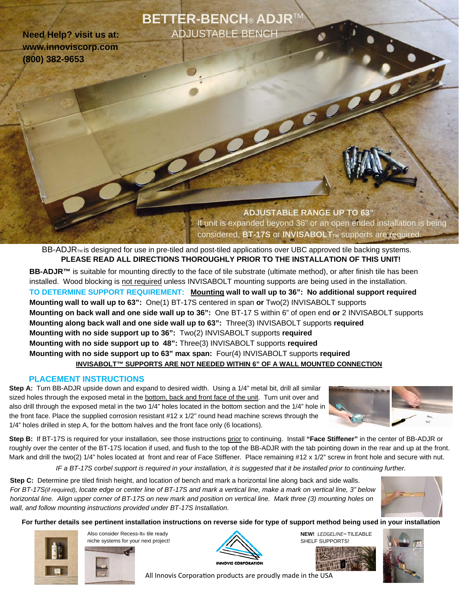# **BETTER-BENCH® ADJR**TM ADJUSTABLE BENCH

**Need Help? visit us at: www.innoviscorp.com (800) 382-9653** 

> **ADJUSTABLE RANGE UP TO 63"**  If unit is expanded beyond 36" or an open ended installation is being considered, **BT-17S** or **INVISABOLT**TM supports are required.

 $BB-ADJR<sub>TM</sub>$  is designed for use in pre-tiled and post-tiled applications over UBC approved tile backing systems. **PLEASE READ ALL DIRECTIONS THOROUGHLY PRIOR TO THE INSTALLATION OF THIS UNIT!** 

**INVISABOLT™ SUPPORTS ARE NOT NEEDED WITHIN 6" OF A WALL MOUNTED CONNECTION BB-ADJR™** is suitable for mounting directly to the face of tile substrate (ultimate method), or after finish tile has been installed. Wood blocking is not required unless INVISABOLT mounting supports are being used in the installation. **TO DETERMINE SUPPORT REQUIREMENT: Mounting wall to wall up to 36": No additional support required Mounting wall to wall up to 63":** One(1) BT-17S centered in span **or** Two(2) INVISABOLT supports **Mounting on back wall and one side wall up to 36":** One BT-17 S within 6" of open end **or** 2 INVISABOLT supports **Mounting along back wall and one side wall up to 63":** Three(3) INVISABOLT supports **required Mounting with no side support up to 36":** Two(2) INVISABOLT supports **required Mounting with no side support up to 48":** Three(3) INVISABOLT supports **required Mounting with no side support up to 63" max span:** Four(4) INVISABOLT supports **required** 

#### **PLACEMENT INSTRUCTIONS**

**Step A:** Turn BB-ADJR upside down and expand to desired width. Using a 1/4" metal bit, drill all similar sized holes through the exposed metal in the bottom, back and front face of the unit. Turn unit over and also drill through the exposed metal in the two 1/4" holes located in the bottom section and the 1/4" hole in the front face. Place the supplied corrosion resistant #12 x 1/2" round head machine screws through the 1/4" holes drilled in step A, for the bottom halves and the front face only (6 locations).



**Step B:** If BT-17S is required for your installation, see those instructions prior to continuing. Install **"Face Stiffener"** in the center of BB-ADJR or roughly over the center of the BT-17S location if used, and flush to the top of the BB-ADJR with the tab pointing down in the rear and up at the front. Mark and drill the two(2) 1/4" holes located at front and rear of Face Stiffener. Place remaining #12 x 1/2" screw in front hole and secure with nut.

*IF a BT-17S corbel support is required in your installation, it is suggested that it be installed prior to continuing further.* 

**Step C:** Determine pre tiled finish height, and location of bench and mark a horizontal line along back and side walls. *For BT-17S(if required), locate edge or center line of BT-17S and mark a vertical line, make a mark on vertical line, 3" below horizontal line. Align upper corner of BT-17S on new mark and position on vertical line. Mark three (3) mounting holes on wall, and follow mounting instructions provided under BT-17S Installation.*



**For further details see pertinent installation instructions on reverse side for type of support method being used in your installation** 



Also consider Recess-It® tile ready niche systems for your next project!



**NEW!** *LEDGELINE™* TILEABLE SHELF SUPPORTS!





All Innovis Corporation products are proudly made in the USA